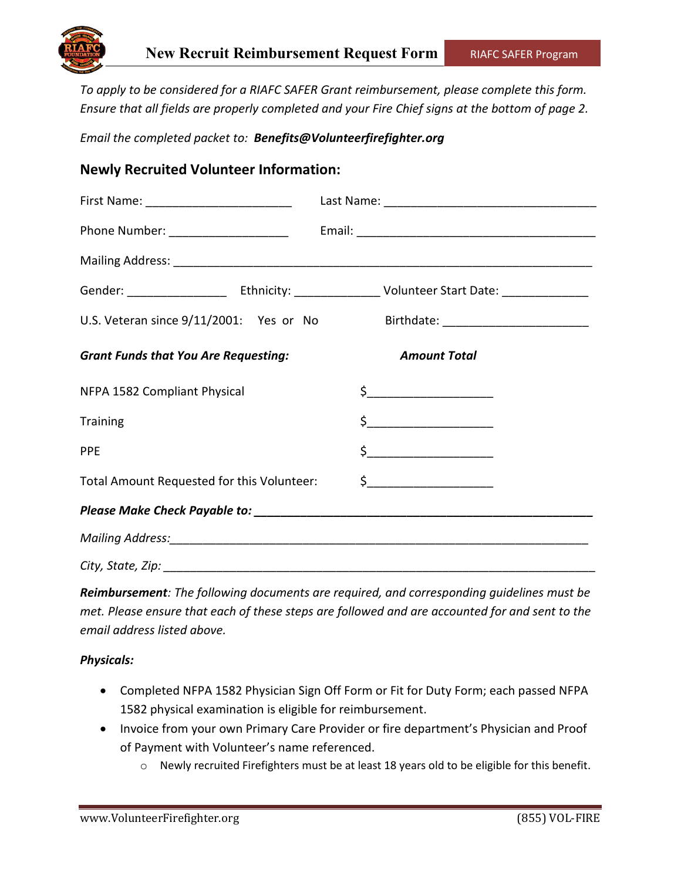

*To apply to be considered for a RIAFC SAFER Grant reimbursement, please complete this form. Ensure that all fields are properly completed and your Fire Chief signs at the bottom of page 2.*

*Email the completed packet to: Benefits@Volunteerfirefighter.org*

## **Newly Recruited Volunteer Information:**

| Phone Number: ______________________        |                                                                                                                                                                                                                                                                                                                                                                                                                                                                                                                                                                                                                                                                                                                                                |
|---------------------------------------------|------------------------------------------------------------------------------------------------------------------------------------------------------------------------------------------------------------------------------------------------------------------------------------------------------------------------------------------------------------------------------------------------------------------------------------------------------------------------------------------------------------------------------------------------------------------------------------------------------------------------------------------------------------------------------------------------------------------------------------------------|
|                                             |                                                                                                                                                                                                                                                                                                                                                                                                                                                                                                                                                                                                                                                                                                                                                |
|                                             | Gender: __________________________Ethnicity: ______________________Volunteer Start Date: _________________                                                                                                                                                                                                                                                                                                                                                                                                                                                                                                                                                                                                                                     |
| U.S. Veteran since 9/11/2001: Yes or No     |                                                                                                                                                                                                                                                                                                                                                                                                                                                                                                                                                                                                                                                                                                                                                |
| <b>Grant Funds that You Are Requesting:</b> | <b>Amount Total</b>                                                                                                                                                                                                                                                                                                                                                                                                                                                                                                                                                                                                                                                                                                                            |
| NFPA 1582 Compliant Physical                | \$______________________                                                                                                                                                                                                                                                                                                                                                                                                                                                                                                                                                                                                                                                                                                                       |
| <b>Training</b>                             | $\begin{array}{c} \n \uparrow \quad \quad \quad \downarrow \quad \quad \quad \quad \downarrow \quad \quad \quad \quad \downarrow \quad \quad \quad \downarrow \quad \quad \quad \downarrow \quad \quad \downarrow \quad \quad \downarrow \quad \quad \downarrow \quad \quad \downarrow \quad \quad \downarrow \quad \quad \downarrow \quad \quad \downarrow \quad \quad \downarrow \quad \quad \downarrow \quad \quad \downarrow \quad \quad \downarrow \quad \downarrow \quad \downarrow \quad \downarrow \quad \downarrow \quad \downarrow \quad \downarrow \quad \downarrow \quad \downarrow \quad \downarrow \quad \downarrow \quad \downarrow \quad \downarrow \quad \downarrow \quad \downarrow \quad \downarrow \quad \downarrow \quad$ |
| <b>PPE</b>                                  | $\begin{picture}(20,10) \put(0,0){\line(1,0){10}} \put(15,0){\line(1,0){10}} \put(15,0){\line(1,0){10}} \put(15,0){\line(1,0){10}} \put(15,0){\line(1,0){10}} \put(15,0){\line(1,0){10}} \put(15,0){\line(1,0){10}} \put(15,0){\line(1,0){10}} \put(15,0){\line(1,0){10}} \put(15,0){\line(1,0){10}} \put(15,0){\line(1,0){10}} \put(15,0){\line(1$                                                                                                                                                                                                                                                                                                                                                                                            |
| Total Amount Requested for this Volunteer:  | $\frac{1}{2}$                                                                                                                                                                                                                                                                                                                                                                                                                                                                                                                                                                                                                                                                                                                                  |
|                                             |                                                                                                                                                                                                                                                                                                                                                                                                                                                                                                                                                                                                                                                                                                                                                |
|                                             |                                                                                                                                                                                                                                                                                                                                                                                                                                                                                                                                                                                                                                                                                                                                                |
| City, State, Zip:                           |                                                                                                                                                                                                                                                                                                                                                                                                                                                                                                                                                                                                                                                                                                                                                |

*Reimbursement: The following documents are required, and corresponding guidelines must be met. Please ensure that each of these steps are followed and are accounted for and sent to the email address listed above.* 

*Physicals:*

- Completed NFPA 1582 Physician Sign Off Form or Fit for Duty Form; each passed NFPA 1582 physical examination is eligible for reimbursement.
- Invoice from your own Primary Care Provider or fire department's Physician and Proof of Payment with Volunteer's name referenced.
	- $\circ$  Newly recruited Firefighters must be at least 18 years old to be eligible for this benefit.